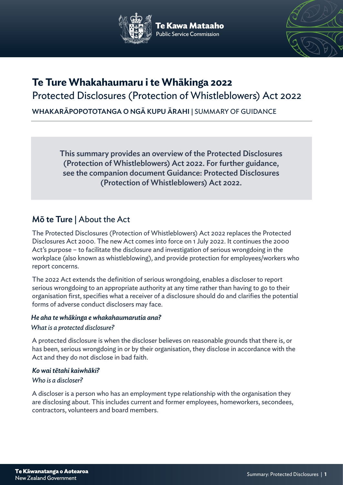

e Kawa Mataaho



# **Te Ture Whakahaumaru i te Whākinga 2022**

Protected Disclosures (Protection of Whistleblowers) Act 2022

WHAKARĀPOPOTOTANGA O NGĀ KUPU ĀRAHI | SUMMARY OF GUIDANCE

This summary provides an overview of the Protected Disclosures (Protection of Whistleblowers) Act 2022. For further guidance, see the companion document Guidance: Protected Disclosures (Protection of Whistleblowers) Act 2022.

# Mō te Ture | About the Act

The Protected Disclosures (Protection of Whistleblowers) Act 2022 replaces the Protected Disclosures Act 2000. The new Act comes into force on 1 July 2022. It continues the 2000 Act's purpose – to facilitate the disclosure and investigation of serious wrongdoing in the workplace (also known as whistleblowing), and provide protection for employees/workers who report concerns.

The 2022 Act extends the definition of serious wrongdoing, enables a discloser to report serious wrongdoing to an appropriate authority at any time rather than having to go to their organisation first, specifies what a receiver of a disclosure should do and clarifies the potential forms of adverse conduct disclosers may face.

# *He aha te whākinga e whakahaumarutia ana?*

# *What is a protected disclosure?*

A protected disclosure is when the discloser believes on reasonable grounds that there is, or has been, serious wrongdoing in or by their organisation, they disclose in accordance with the Act and they do not disclose in bad faith.

# *Ko wai tētahi kaiwhāki?*

# *Who is a discloser?*

A discloser is a person who has an employment type relationship with the organisation they are disclosing about. This includes current and former employees, homeworkers, secondees, contractors, volunteers and board members.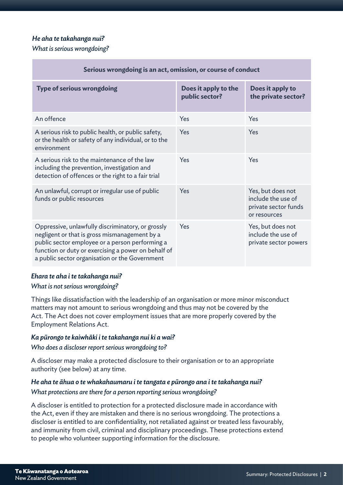### *He aha te takahanga nui?*

#### *What is serious wrongdoing?*

| Serious wrongdoing is an act, omission, or course of conduct                                                                                                                                                                                                   |                                        |                                                                                 |
|----------------------------------------------------------------------------------------------------------------------------------------------------------------------------------------------------------------------------------------------------------------|----------------------------------------|---------------------------------------------------------------------------------|
| <b>Type of serious wrongdoing</b>                                                                                                                                                                                                                              | Does it apply to the<br>public sector? | Does it apply to<br>the private sector?                                         |
| An offence                                                                                                                                                                                                                                                     | Yes                                    | Yes                                                                             |
| A serious risk to public health, or public safety,<br>or the health or safety of any individual, or to the<br>environment                                                                                                                                      | Yes                                    | Yes                                                                             |
| A serious risk to the maintenance of the law<br>including the prevention, investigation and<br>detection of offences or the right to a fair trial                                                                                                              | Yes                                    | Yes                                                                             |
| An unlawful, corrupt or irregular use of public<br>funds or public resources                                                                                                                                                                                   | Yes                                    | Yes, but does not<br>include the use of<br>private sector funds<br>or resources |
| Oppressive, unlawfully discriminatory, or grossly<br>negligent or that is gross mismanagement by a<br>public sector employee or a person performing a<br>function or duty or exercising a power on behalf of<br>a public sector organisation or the Government | Yes                                    | Yes, but does not<br>include the use of<br>private sector powers                |

#### *Ehara te aha i te takahanga nui?*

#### *What is not serious wrongdoing?*

Things like dissatisfaction with the leadership of an organisation or more minor misconduct matters may not amount to serious wrongdoing and thus may not be covered by the Act. The Act does not cover employment issues that are more properly covered by the Employment Relations Act.

#### *Ka pūrongo te kaiwhāki i te takahanga nui ki a wai?*

#### *Who does a discloser report serious wrongdoing to?*

A discloser may make a protected disclosure to their organisation or to an appropriate authority (see below) at any time.

# *He aha te āhua o te whakahaumaru i te tangata e pūrongo ana i te takahanga nui? What protections are there for a person reporting serious wrongdoing?*

A discloser is entitled to protection for a protected disclosure made in accordance with the Act, even if they are mistaken and there is no serious wrongdoing. The protections a discloser is entitled to are confidentiality, not retaliated against or treated less favourably, and immunity from civil, criminal and disciplinary proceedings. These protections extend to people who volunteer supporting information for the disclosure.